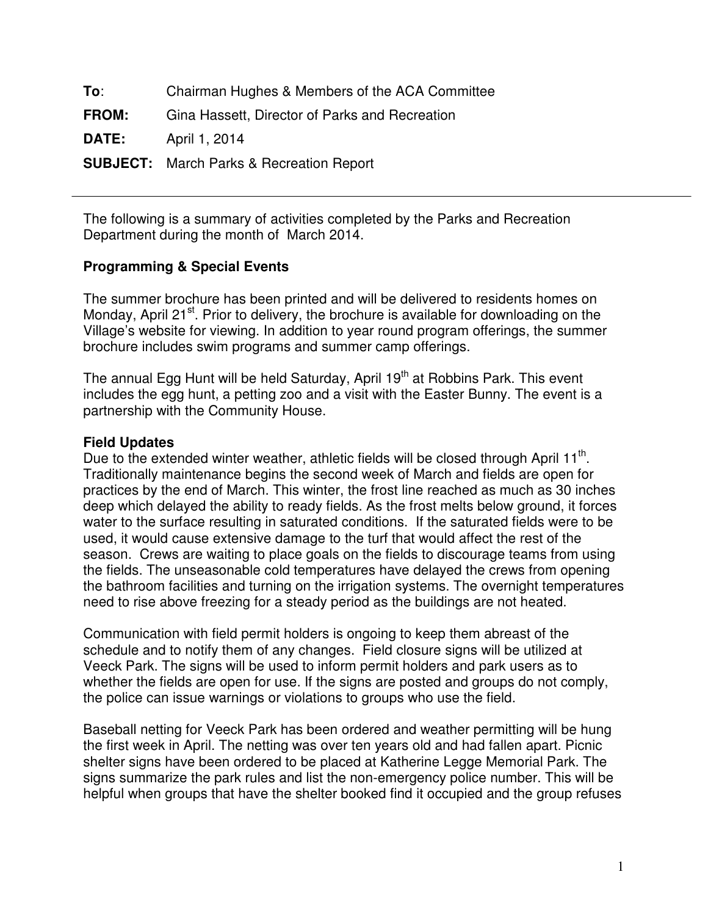**To**: Chairman Hughes & Members of the ACA Committee **FROM:** Gina Hassett, Director of Parks and Recreation **DATE:** April 1, 2014 **SUBJECT:** March Parks & Recreation Report

The following is a summary of activities completed by the Parks and Recreation Department during the month of March 2014.

# **Programming & Special Events**

The summer brochure has been printed and will be delivered to residents homes on Monday, April 21<sup>st</sup>. Prior to delivery, the brochure is available for downloading on the Village's website for viewing. In addition to year round program offerings, the summer brochure includes swim programs and summer camp offerings.

The annual Egg Hunt will be held Saturday, April 19<sup>th</sup> at Robbins Park. This event includes the egg hunt, a petting zoo and a visit with the Easter Bunny. The event is a partnership with the Community House.

## **Field Updates**

Due to the extended winter weather, athletic fields will be closed through April 11<sup>th</sup>. Traditionally maintenance begins the second week of March and fields are open for practices by the end of March. This winter, the frost line reached as much as 30 inches deep which delayed the ability to ready fields. As the frost melts below ground, it forces water to the surface resulting in saturated conditions. If the saturated fields were to be used, it would cause extensive damage to the turf that would affect the rest of the season. Crews are waiting to place goals on the fields to discourage teams from using the fields. The unseasonable cold temperatures have delayed the crews from opening the bathroom facilities and turning on the irrigation systems. The overnight temperatures need to rise above freezing for a steady period as the buildings are not heated.

Communication with field permit holders is ongoing to keep them abreast of the schedule and to notify them of any changes. Field closure signs will be utilized at Veeck Park. The signs will be used to inform permit holders and park users as to whether the fields are open for use. If the signs are posted and groups do not comply, the police can issue warnings or violations to groups who use the field.

Baseball netting for Veeck Park has been ordered and weather permitting will be hung the first week in April. The netting was over ten years old and had fallen apart. Picnic shelter signs have been ordered to be placed at Katherine Legge Memorial Park. The signs summarize the park rules and list the non-emergency police number. This will be helpful when groups that have the shelter booked find it occupied and the group refuses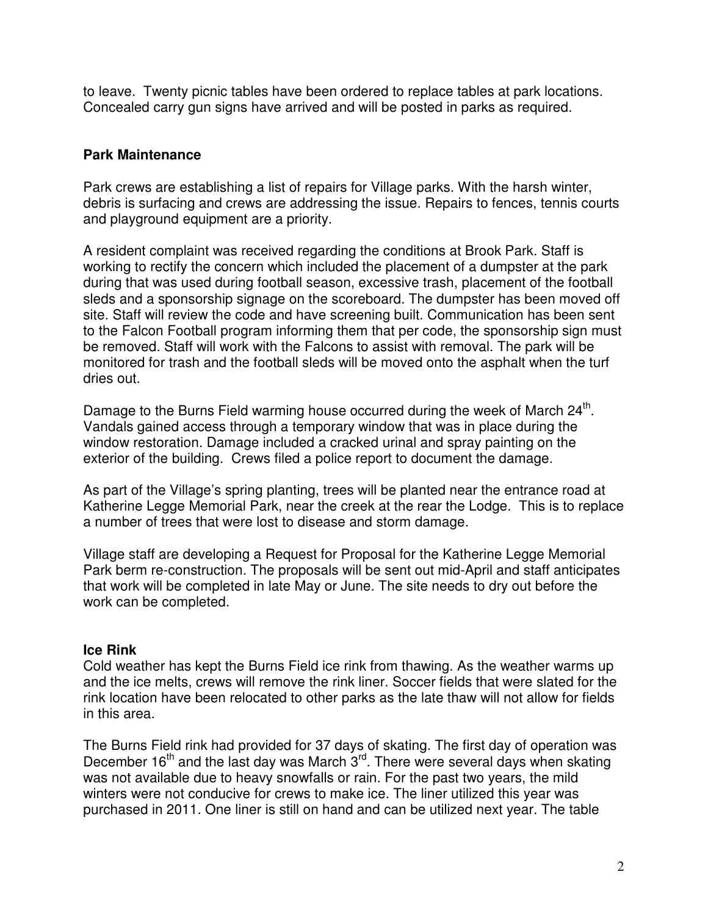to leave. Twenty picnic tables have been ordered to replace tables at park locations. Concealed carry gun signs have arrived and will be posted in parks as required.

## **Park Maintenance**

Park crews are establishing a list of repairs for Village parks. With the harsh winter, debris is surfacing and crews are addressing the issue. Repairs to fences, tennis courts and playground equipment are a priority.

A resident complaint was received regarding the conditions at Brook Park. Staff is working to rectify the concern which included the placement of a dumpster at the park during that was used during football season, excessive trash, placement of the football sleds and a sponsorship signage on the scoreboard. The dumpster has been moved off site. Staff will review the code and have screening built. Communication has been sent to the Falcon Football program informing them that per code, the sponsorship sign must be removed. Staff will work with the Falcons to assist with removal. The park will be monitored for trash and the football sleds will be moved onto the asphalt when the turf dries out.

Damage to the Burns Field warming house occurred during the week of March 24<sup>th</sup>. Vandals gained access through a temporary window that was in place during the window restoration. Damage included a cracked urinal and spray painting on the exterior of the building. Crews filed a police report to document the damage.

As part of the Village's spring planting, trees will be planted near the entrance road at Katherine Legge Memorial Park, near the creek at the rear the Lodge. This is to replace a number of trees that were lost to disease and storm damage.

Village staff are developing a Request for Proposal for the Katherine Legge Memorial Park berm re-construction. The proposals will be sent out mid-April and staff anticipates that work will be completed in late May or June. The site needs to dry out before the work can be completed.

### **Ice Rink**

Cold weather has kept the Burns Field ice rink from thawing. As the weather warms up and the ice melts, crews will remove the rink liner. Soccer fields that were slated for the rink location have been relocated to other parks as the late thaw will not allow for fields in this area.

The Burns Field rink had provided for 37 days of skating. The first day of operation was December  $16<sup>th</sup>$  and the last day was March  $3<sup>rd</sup>$ . There were several days when skating was not available due to heavy snowfalls or rain. For the past two years, the mild winters were not conducive for crews to make ice. The liner utilized this year was purchased in 2011. One liner is still on hand and can be utilized next year. The table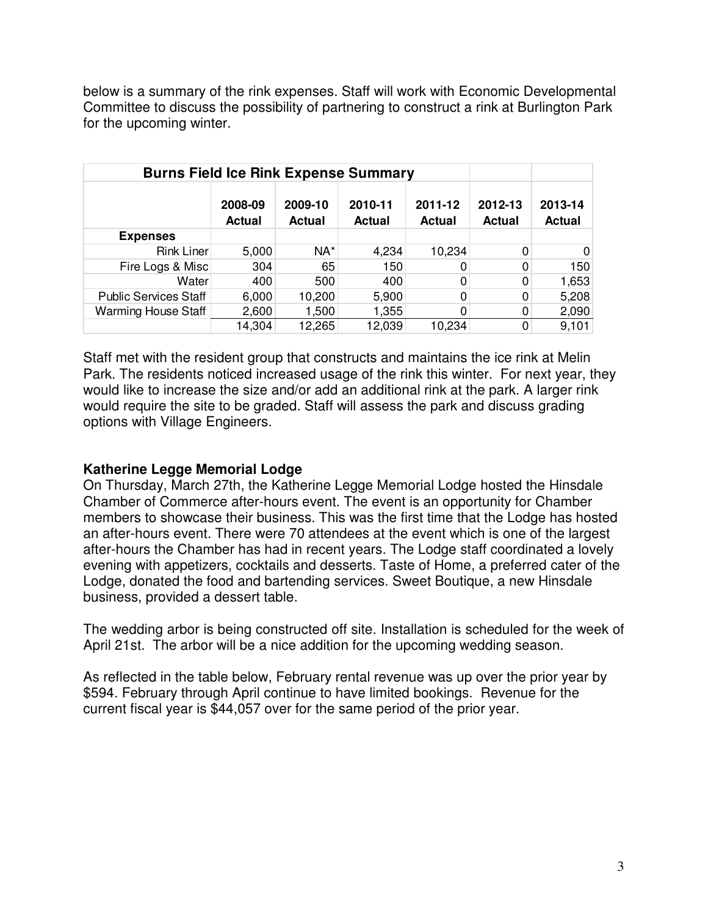below is a summary of the rink expenses. Staff will work with Economic Developmental Committee to discuss the possibility of partnering to construct a rink at Burlington Park for the upcoming winter.

| <b>Burns Field Ice Rink Expense Summary</b> |                          |                          |                          |                          |                          |                          |
|---------------------------------------------|--------------------------|--------------------------|--------------------------|--------------------------|--------------------------|--------------------------|
|                                             | 2008-09<br><b>Actual</b> | 2009-10<br><b>Actual</b> | 2010-11<br><b>Actual</b> | 2011-12<br><b>Actual</b> | 2012-13<br><b>Actual</b> | 2013-14<br><b>Actual</b> |
| <b>Expenses</b>                             |                          |                          |                          |                          |                          |                          |
| <b>Rink Liner</b>                           | 5,000                    | NA*                      | 4,234                    | 10,234                   |                          | $\Omega$                 |
| Fire Logs & Misc                            | 304                      | 65                       | 150                      |                          |                          | 150                      |
| Water                                       | 400                      | 500                      | 400                      |                          |                          | 1,653                    |
| <b>Public Services Staff</b>                | 6,000                    | 10,200                   | 5,900                    |                          | 0                        | 5,208                    |
| <b>Warming House Staff</b>                  | 2,600                    | 1,500                    | 1,355                    |                          |                          | 2,090                    |
|                                             | 14.304                   | 12,265                   | 12,039                   | 10,234                   |                          | 9,101                    |

Staff met with the resident group that constructs and maintains the ice rink at Melin Park. The residents noticed increased usage of the rink this winter. For next year, they would like to increase the size and/or add an additional rink at the park. A larger rink would require the site to be graded. Staff will assess the park and discuss grading options with Village Engineers.

### **Katherine Legge Memorial Lodge**

On Thursday, March 27th, the Katherine Legge Memorial Lodge hosted the Hinsdale Chamber of Commerce after-hours event. The event is an opportunity for Chamber members to showcase their business. This was the first time that the Lodge has hosted an after-hours event. There were 70 attendees at the event which is one of the largest after-hours the Chamber has had in recent years. The Lodge staff coordinated a lovely evening with appetizers, cocktails and desserts. Taste of Home, a preferred cater of the Lodge, donated the food and bartending services. Sweet Boutique, a new Hinsdale business, provided a dessert table.

The wedding arbor is being constructed off site. Installation is scheduled for the week of April 21st. The arbor will be a nice addition for the upcoming wedding season.

As reflected in the table below, February rental revenue was up over the prior year by \$594. February through April continue to have limited bookings. Revenue for the current fiscal year is \$44,057 over for the same period of the prior year.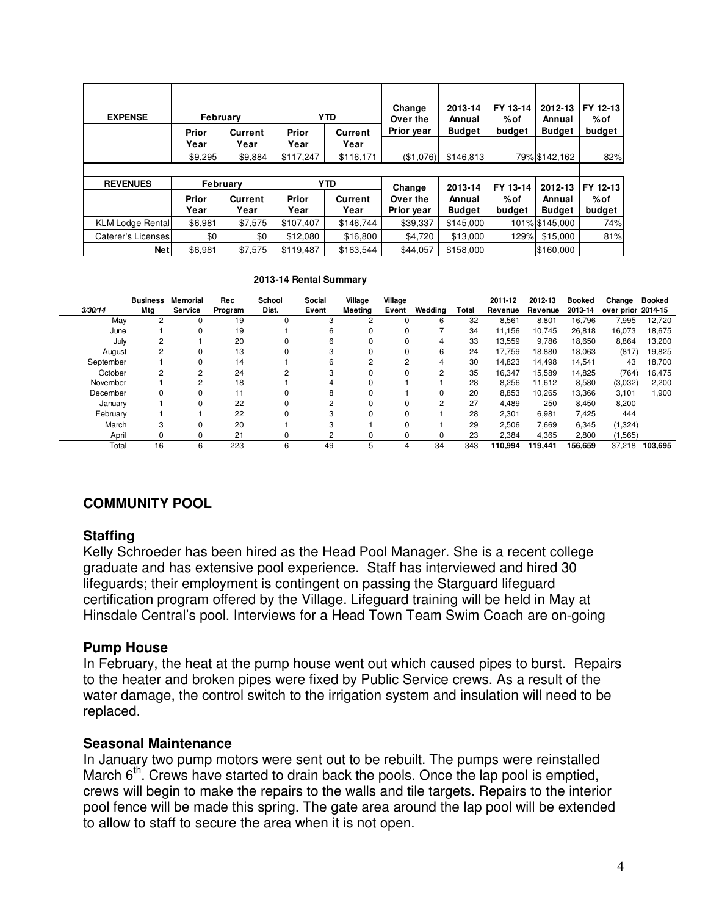| <b>EXPENSE</b>          | February |          | <b>YTD</b>             |                |            |               | Change<br>Over the | 2013-14<br>Annual | FY 13-14<br>% of | 2012-13<br>Annual | FY 12-13<br>%of |
|-------------------------|----------|----------|------------------------|----------------|------------|---------------|--------------------|-------------------|------------------|-------------------|-----------------|
|                         | Prior    | Current  | Prior                  | Current        | Prior year | <b>Budget</b> | budget             | <b>Budget</b>     | budget           |                   |                 |
|                         | Year     | Year     | Year                   | Year           |            |               |                    |                   |                  |                   |                 |
|                         | \$9,295  | \$9,884  | \$117,247<br>\$116,171 |                | (\$1,076)  | \$146,813     |                    | 79% \$142,162     | 82%              |                   |                 |
|                         |          |          |                        |                |            |               |                    |                   |                  |                   |                 |
| <b>REVENUES</b>         |          | February | <b>YTD</b>             |                | Change     | 2013-14       | FY 13-14           | 2012-13           | FY 12-13         |                   |                 |
|                         | Prior    | Current  | Prior                  | <b>Current</b> | Over the   | Annual        | %of                | Annual            | %of              |                   |                 |
|                         | Year     | Year     | Year                   | Year           | Prior year | <b>Budget</b> | budget             | <b>Budget</b>     | budget           |                   |                 |
| <b>KLM Lodge Rental</b> | \$6,981  | \$7,575  | \$107,407              | \$146,744      | \$39,337   | \$145,000     |                    | 101% \$145,000    | 74%              |                   |                 |
| Caterer's Licenses      | \$0      | \$0      | \$12,080               | \$16,800       | \$4,720    | \$13,000      | 129%               | \$15,000          | 81%              |                   |                 |
| <b>Net</b>              | \$6,981  | \$7,575  | \$119.487              | \$163.544      | \$44.057   | \$158,000     |                    | \$160,000         |                  |                   |                 |

#### **2013-14 Rental Summary**

| 3/30/14   | <b>Business</b><br>Mtg | Memorial<br>Service | Rec<br>Program | School<br>Dist. | Social<br>Event | Village<br>Meeting | Village<br>Event | Wedding | Total | 2011-12<br>Revenue | 2012-13<br>Revenue | <b>Booked</b><br>2013-14 | Change<br>over prior 2014-15 | <b>Booked</b> |
|-----------|------------------------|---------------------|----------------|-----------------|-----------------|--------------------|------------------|---------|-------|--------------------|--------------------|--------------------------|------------------------------|---------------|
| May       | 2                      | 0                   | 19             |                 | 3               | 2                  |                  | 6       | 32    | 8,561              | 8,801              | 16.796                   | 7,995                        | 12,720        |
|           |                        |                     |                |                 |                 |                    |                  |         |       |                    |                    |                          |                              |               |
| June      |                        | 0                   | 19             |                 | 6               |                    |                  |         | 34    | 11.156             | 10.745             | 26,818                   | 16,073                       | 18,675        |
| July      | 2                      |                     | 20             |                 | 6               |                    |                  | 4       | 33    | 13,559             | 9,786              | 18,650                   | 8,864                        | 13,200        |
| August    |                        | 0                   | 13             |                 | 3               |                    |                  | 6       | 24    | 17.759             | 18,880             | 18,063                   | (817)                        | 19,825        |
| September |                        | 0                   | 14             |                 | 6               | 2                  | 2                | 4       | 30    | 14,823             | 14,498             | 14,541                   | 43                           | 18,700        |
| October   |                        | 2                   | 24             |                 | 3               |                    |                  | 2       | 35    | 16,347             | 15,589             | 14,825                   | (764)                        | 16,475        |
| November  |                        | $\overline{2}$      | 18             |                 |                 |                    |                  |         | 28    | 8,256              | 11,612             | 8,580                    | (3,032)                      | 2,200         |
| December  | 0                      | 0                   | 11             |                 | 8               |                    |                  | 0       | 20    | 8,853              | 10,265             | 13,366                   | 3,101                        | 1,900         |
| January   |                        | 0                   | 22             |                 | 2               |                    |                  | 2       | 27    | 4,489              | 250                | 8,450                    | 8,200                        |               |
| February  |                        |                     | 22             |                 | 3               |                    |                  |         | 28    | 2,301              | 6,981              | 7,425                    | 444                          |               |
| March     | 3                      | 0                   | 20             |                 | 3               |                    |                  |         | 29    | 2,506              | 7,669              | 6,345                    | (1,324)                      |               |
| April     | O.                     | 0                   | 21             |                 | 2               |                    |                  | 0       | 23    | 2,384              | 4,365              | 2,800                    | (1,565)                      |               |
| Total     | 16                     | 6                   | 223            | 6               | 49              | 5                  | 4                | 34      | 343   | 110,994            | 119,441            | 156,659                  | 37.218                       | 103.695       |

# **COMMUNITY POOL**

#### **Staffing**

Kelly Schroeder has been hired as the Head Pool Manager. She is a recent college graduate and has extensive pool experience. Staff has interviewed and hired 30 lifeguards; their employment is contingent on passing the Starguard lifeguard certification program offered by the Village. Lifeguard training will be held in May at Hinsdale Central's pool. Interviews for a Head Town Team Swim Coach are on-going

#### **Pump House**

In February, the heat at the pump house went out which caused pipes to burst. Repairs to the heater and broken pipes were fixed by Public Service crews. As a result of the water damage, the control switch to the irrigation system and insulation will need to be replaced.

#### **Seasonal Maintenance**

In January two pump motors were sent out to be rebuilt. The pumps were reinstalled March  $6<sup>th</sup>$ . Crews have started to drain back the pools. Once the lap pool is emptied, crews will begin to make the repairs to the walls and tile targets. Repairs to the interior pool fence will be made this spring. The gate area around the lap pool will be extended to allow to staff to secure the area when it is not open.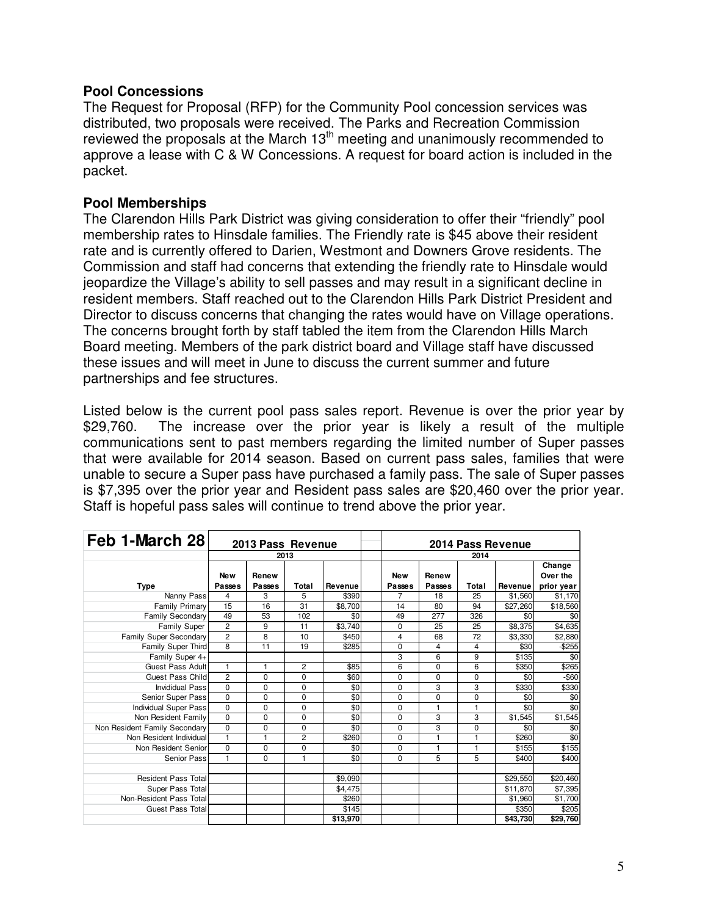### **Pool Concessions**

The Request for Proposal (RFP) for the Community Pool concession services was distributed, two proposals were received. The Parks and Recreation Commission reviewed the proposals at the March  $13<sup>th</sup>$  meeting and unanimously recommended to approve a lease with C & W Concessions. A request for board action is included in the packet.

### **Pool Memberships**

The Clarendon Hills Park District was giving consideration to offer their "friendly" pool membership rates to Hinsdale families. The Friendly rate is \$45 above their resident rate and is currently offered to Darien, Westmont and Downers Grove residents. The Commission and staff had concerns that extending the friendly rate to Hinsdale would jeopardize the Village's ability to sell passes and may result in a significant decline in resident members. Staff reached out to the Clarendon Hills Park District President and Director to discuss concerns that changing the rates would have on Village operations. The concerns brought forth by staff tabled the item from the Clarendon Hills March Board meeting. Members of the park district board and Village staff have discussed these issues and will meet in June to discuss the current summer and future partnerships and fee structures.

Listed below is the current pool pass sales report. Revenue is over the prior year by \$29,760. The increase over the prior year is likely a result of the multiple communications sent to past members regarding the limited number of Super passes that were available for 2014 season. Based on current pass sales, families that were unable to secure a Super pass have purchased a family pass. The sale of Super passes is \$7,395 over the prior year and Resident pass sales are \$20,460 over the prior year. Staff is hopeful pass sales will continue to trend above the prior year.

| Feb 1-March 28                | 2013 Pass Revenue |              |                | 2014 Pass Revenue |                          |              |              |          |                    |  |
|-------------------------------|-------------------|--------------|----------------|-------------------|--------------------------|--------------|--------------|----------|--------------------|--|
|                               | 2013              |              |                |                   | 2014                     |              |              |          |                    |  |
|                               | <b>New</b>        | Renew        |                |                   | <b>New</b>               | Renew        |              |          | Change<br>Over the |  |
| <b>Type</b>                   | Passes            | Passes       | Total          | Revenue           | Passes<br>$\overline{7}$ | Passes       | Total        | Revenue  | prior year         |  |
| Nanny Pass                    | 4                 | 3            | 5              | \$390             |                          | 18           | 25           | \$1,560  | \$1,170            |  |
| Family Primary                | 15                | 16           | 31             | \$8,700           | 14                       | 80           | 94           | \$27,260 | \$18,560           |  |
| <b>Family Secondary</b>       | 49                | 53           | 102            | \$0               | 49                       | 277          | 326          | \$0      | \$0                |  |
| <b>Family Super</b>           | $\overline{2}$    | 9            | 11             | \$3,740           | $\mathbf 0$              | 25           | 25           | \$8,375  | \$4,635            |  |
| Family Super Secondary        | $\overline{2}$    | 8            | 10             | \$450             | 4                        | 68           | 72           | \$3,330  | \$2,880            |  |
| Family Super Third            | 8                 | 11           | 19             | \$285             | $\mathbf 0$              | 4            | 4            | \$30     | $-$ \$255          |  |
| Family Super 4+               |                   |              |                |                   | 3                        | 6            | 9            | \$135    | \$0                |  |
| Guest Pass Adult              | $\mathbf{1}$      | $\mathbf{1}$ | $\overline{2}$ | \$85              | 6                        | $\Omega$     | 6            | \$350    | \$265              |  |
| Guest Pass Child              | $\overline{2}$    | 0            | 0              | \$60              | $\Omega$                 | $\Omega$     | 0            | \$0      | $-$60$             |  |
| Invididual Pass               | $\Omega$          | $\Omega$     | $\Omega$       | \$0               | $\Omega$                 | 3            | 3            | \$330    | \$330              |  |
| Senior Super Pass             | $\mathbf 0$       | 0            | 0              | \$0               | $\mathbf 0$              | 0            | 0            | \$0      | \$0                |  |
| Individual Super Pass         | $\Omega$          | 0            | 0              | \$0               | $\mathbf 0$              | $\mathbf{1}$ | $\mathbf{1}$ | \$0      | \$0                |  |
| Non Resident Family           | $\Omega$          | $\Omega$     | $\Omega$       | \$0               | $\Omega$                 | 3            | 3            | \$1,545  | \$1,545            |  |
| Non Resident Family Secondary | $\Omega$          | 0            | 0              | \$0               | $\mathbf 0$              | 3            | 0            | \$0      | \$0                |  |
| Non Resident Individual       | $\mathbf{1}$      | $\mathbf{1}$ | $\overline{c}$ | \$260             | $\Omega$                 | $\mathbf{1}$ | $\mathbf{1}$ | \$260    | \$0                |  |
| Non Resident Senior           | $\Omega$          | 0            | 0              | \$0               | 0                        | 1            | 1            | \$155    | \$155              |  |
| Senior Pass                   | $\mathbf{1}$      | $\Omega$     | 1              | \$0               | $\Omega$                 | 5            | 5            | \$400    | \$400              |  |
|                               |                   |              |                |                   |                          |              |              |          |                    |  |
| Resident Pass Total           |                   |              |                | \$9,090           |                          |              |              | \$29,550 | \$20,460           |  |
| Super Pass Total              |                   |              |                | \$4,475           |                          |              |              | \$11,870 | \$7,395            |  |
| Non-Resident Pass Total       |                   |              |                | \$260             |                          |              |              | \$1,960  | \$1,700            |  |
| Guest Pass Total              |                   |              |                | \$145             |                          |              |              | \$350    | \$205              |  |
|                               |                   |              |                | \$13,970          |                          |              |              | \$43,730 | \$29,760           |  |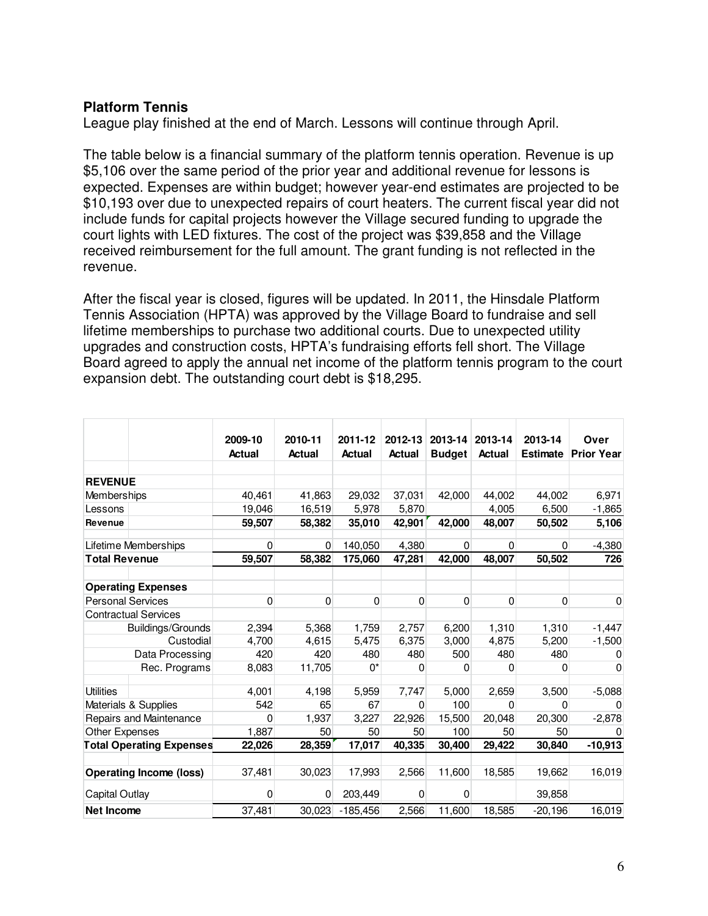# **Platform Tennis**

League play finished at the end of March. Lessons will continue through April.

The table below is a financial summary of the platform tennis operation. Revenue is up \$5,106 over the same period of the prior year and additional revenue for lessons is expected. Expenses are within budget; however year-end estimates are projected to be \$10,193 over due to unexpected repairs of court heaters. The current fiscal year did not include funds for capital projects however the Village secured funding to upgrade the court lights with LED fixtures. The cost of the project was \$39,858 and the Village received reimbursement for the full amount. The grant funding is not reflected in the revenue.

After the fiscal year is closed, figures will be updated. In 2011, the Hinsdale Platform Tennis Association (HPTA) was approved by the Village Board to fundraise and sell lifetime memberships to purchase two additional courts. Due to unexpected utility upgrades and construction costs, HPTA's fundraising efforts fell short. The Village Board agreed to apply the annual net income of the platform tennis program to the court expansion debt. The outstanding court debt is \$18,295.

|                          |                                 | 2009-10       | 2010-11       | 2011-12       | 2012-13  | 2013-14       | 2013-14       | 2013-14         | Over              |
|--------------------------|---------------------------------|---------------|---------------|---------------|----------|---------------|---------------|-----------------|-------------------|
|                          |                                 | <b>Actual</b> | <b>Actual</b> | <b>Actual</b> | Actual   | <b>Budget</b> | <b>Actual</b> | <b>Estimate</b> | <b>Prior Year</b> |
|                          |                                 |               |               |               |          |               |               |                 |                   |
| <b>REVENUE</b>           |                                 |               |               |               |          |               |               |                 |                   |
| Memberships              |                                 | 40,461        | 41,863        | 29,032        | 37,031   | 42,000        | 44.002        | 44.002          | 6.971             |
| Lessons                  |                                 | 19,046        | 16,519        | 5,978         | 5,870    |               | 4,005         | 6,500           | $-1,865$          |
| Revenue                  |                                 | 59,507        | 58,382        | 35,010        | 42,901   | 42,000        | 48,007        | 50,502          | 5,106             |
|                          | Lifetime Memberships            | $\Omega$      | $\Omega$      | 140,050       | 4,380    | 0             | $\Omega$      | $\Omega$        | $-4,380$          |
| <b>Total Revenue</b>     |                                 | 59,507        | 58,382        | 175,060       | 47,281   | 42,000        | 48,007        | 50,502          | 726               |
|                          | <b>Operating Expenses</b>       |               |               |               |          |               |               |                 |                   |
| <b>Personal Services</b> |                                 | $\mathbf 0$   | $\mathbf 0$   | $\mathbf 0$   | 0        | 0             | $\mathbf 0$   | 0               | 0                 |
|                          | <b>Contractual Services</b>     |               |               |               |          |               |               |                 |                   |
|                          | Buildings/Grounds               | 2,394         | 5,368         | 1,759         | 2,757    | 6,200         | 1,310         | 1,310           | $-1,447$          |
|                          | Custodial                       | 4,700         | 4,615         | 5,475         | 6,375    | 3,000         | 4,875         | 5,200           | $-1,500$          |
|                          | Data Processing                 | 420           | 420           | 480           | 480      | 500           | 480           | 480             | 0                 |
|                          | Rec. Programs                   | 8,083         | 11,705        | $0^*$         | $\Omega$ | 0             | $\Omega$      | 0               | 0                 |
| <b>Utilities</b>         |                                 | 4,001         | 4,198         | 5,959         | 7,747    | 5,000         | 2,659         | 3,500           | $-5,088$          |
|                          | Materials & Supplies            | 542           | 65            | 67            | 0        | 100           | 0             | $\Omega$        |                   |
|                          | Repairs and Maintenance         | 0             | 1,937         | 3,227         | 22,926   | 15,500        | 20,048        | 20,300          | $-2,878$          |
| <b>Other Expenses</b>    |                                 | 1,887         | 50            | 50            | 50       | 100           | 50            | 50              | 0                 |
|                          | <b>Total Operating Expenses</b> | 22,026        | 28,359        | 17,017        | 40,335   | 30,400        | 29,422        | 30,840          | $-10,913$         |
|                          | <b>Operating Income (loss)</b>  | 37,481        | 30,023        | 17,993        | 2,566    | 11,600        | 18,585        | 19,662          | 16,019            |
| Capital Outlay           |                                 | 0             | $\mathbf{0}$  | 203,449       | 0        | 0             |               | 39,858          |                   |
| Net Income               |                                 | 37,481        | 30,023        | $-185,456$    | 2,566    | 11,600        | 18,585        | $-20,196$       | 16,019            |